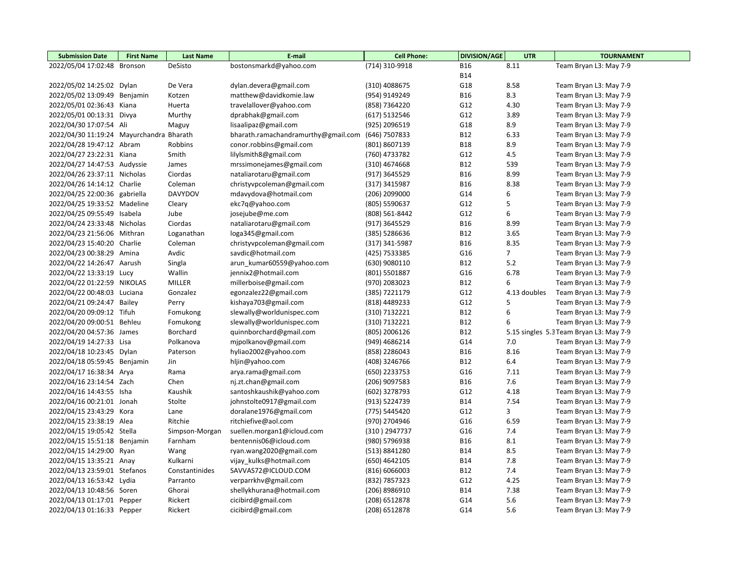| <b>Submission Date</b>                   | <b>First Name</b> | <b>Last Name</b> | E-mail                              | <b>Cell Phone:</b> | <b>DIVISION/AGE</b><br><b>UTR</b> |                | <b>TOURNAMENT</b>                       |  |
|------------------------------------------|-------------------|------------------|-------------------------------------|--------------------|-----------------------------------|----------------|-----------------------------------------|--|
| 2022/05/04 17:02:48                      | Bronson           | DeSisto          | bostonsmarkd@yahoo.com              | (714) 310-9918     | <b>B16</b>                        | 8.11           | Team Bryan L3: May 7-9                  |  |
|                                          |                   |                  |                                     |                    | <b>B14</b>                        |                |                                         |  |
| 2022/05/02 14:25:02 Dylan                |                   | De Vera          | dylan.devera@gmail.com              | (310) 4088675      | G18                               | 8.58           | Team Bryan L3: May 7-9                  |  |
| 2022/05/02 13:09:49 Benjamin             |                   | Kotzen           | matthew@davidkomie.law              | (954) 9149249      | <b>B16</b>                        | 8.3            | Team Bryan L3: May 7-9                  |  |
| 2022/05/01 02:36:43 Kiana                |                   | Huerta           | travelallover@yahoo.com             | (858) 7364220      | G12                               | 4.30           | Team Bryan L3: May 7-9                  |  |
| 2022/05/01 00:13:31 Divya                |                   | Murthy           | dprabhak@gmail.com                  | (617) 5132546      | G12                               | 3.89           | Team Bryan L3: May 7-9                  |  |
| 2022/04/30 17:07:54 Ali                  |                   | Maguy            | lisaalipaz@gmail.com                | (925) 2096519      | G18                               | 8.9            | Team Bryan L3: May 7-9                  |  |
| 2022/04/30 11:19:24 Mayurchandra Bharath |                   |                  | bharath.ramachandramurthy@gmail.com | (646) 7507833      | <b>B12</b>                        | 6.33           | Team Bryan L3: May 7-9                  |  |
| 2022/04/28 19:47:12 Abram                |                   | Robbins          | conor.robbins@gmail.com             | (801) 8607139      | <b>B18</b>                        | 8.9            | Team Bryan L3: May 7-9                  |  |
| 2022/04/27 23:22:31 Kiana                |                   | Smith            | lilylsmith8@gmail.com               | (760) 4733782      | G12                               | 4.5            | Team Bryan L3: May 7-9                  |  |
| 2022/04/27 14:47:53 Audyssie             |                   | James            | mrssimonejames@gmail.com            | (310) 4674668      | <b>B12</b>                        | 539            | Team Bryan L3: May 7-9                  |  |
| 2022/04/26 23:37:11 Nicholas             |                   | Ciordas          | nataliarotaru@gmail.com             | (917) 3645529      | <b>B16</b>                        | 8.99           | Team Bryan L3: May 7-9                  |  |
| 2022/04/26 14:14:12 Charlie              |                   | Coleman          | christyvpcoleman@gmail.com          | (317) 3415987      | <b>B16</b>                        | 8.38           | Team Bryan L3: May 7-9                  |  |
| 2022/04/25 22:00:36 gabriella            |                   | DAVYDOV          | mdavydova@hotmail.com               | (206) 2099000      | G14                               | 6              | Team Bryan L3: May 7-9                  |  |
| 2022/04/25 19:33:52 Madeline             |                   | Cleary           | ekc7q@yahoo.com                     | (805) 5590637      | G12                               | 5              | Team Bryan L3: May 7-9                  |  |
| 2022/04/25 09:55:49 Isabela              |                   | Jube             | josejube@me.com                     | (808) 561-8442     | G12                               | 6              | Team Bryan L3: May 7-9                  |  |
| 2022/04/24 23:33:48 Nicholas             |                   | Ciordas          | nataliarotaru@gmail.com             | (917) 3645529      | <b>B16</b>                        | 8.99           | Team Bryan L3: May 7-9                  |  |
| 2022/04/23 21:56:06 Mithran              |                   | Loganathan       | loga345@gmail.com                   | (385) 5286636      | <b>B12</b>                        | 3.65           | Team Bryan L3: May 7-9                  |  |
| 2022/04/23 15:40:20 Charlie              |                   | Coleman          | christyvpcoleman@gmail.com          | (317) 341-5987     | <b>B16</b>                        | 8.35           | Team Bryan L3: May 7-9                  |  |
| 2022/04/23 00:38:29 Amina                |                   | Avdic            | savdic@hotmail.com                  | (425) 7533385      | G16                               | $\overline{7}$ | Team Bryan L3: May 7-9                  |  |
| 2022/04/22 14:26:47 Aarush               |                   | Singla           | arun_kumar60559@yahoo.com           | (630) 9080110      | <b>B12</b>                        | 5.2            | Team Bryan L3: May 7-9                  |  |
| 2022/04/22 13:33:19 Lucy                 |                   | Wallin           | jennix2@hotmail.com                 | (801) 5501887      | G16                               | 6.78           | Team Bryan L3: May 7-9                  |  |
| 2022/04/22 01:22:59 NIKOLAS              |                   | MILLER           | millerboise@gmail.com               | (970) 2083023      | <b>B12</b>                        | 6              | Team Bryan L3: May 7-9                  |  |
| 2022/04/22 00:48:03 Luciana              |                   | Gonzalez         | egonzalez22@gmail.com               | (385) 7221179      | G12                               | 4.13 doubles   | Team Bryan L3: May 7-9                  |  |
| 2022/04/21 09:24:47 Bailey               |                   | Perry            | kishaya703@gmail.com                | (818) 4489233      | G12                               | 5              | Team Bryan L3: May 7-9                  |  |
| 2022/04/20 09:09:12 Tifuh                |                   | Fomukong         | slewally@worldunispec.com           | (310) 7132221      | <b>B12</b>                        | 6              | Team Bryan L3: May 7-9                  |  |
| 2022/04/20 09:00:51 Behleu               |                   | Fomukong         | slewally@worldunispec.com           | (310) 7132221      | <b>B12</b>                        | 6              | Team Bryan L3: May 7-9                  |  |
| 2022/04/20 04:57:36 James                |                   | Borchard         | quinnborchard@gmail.com             | (805) 2006126      | <b>B12</b>                        |                | 5.15 singles 5.3 Team Bryan L3: May 7-9 |  |
| 2022/04/19 14:27:33 Lisa                 |                   | Polkanova        | mjpolkanov@gmail.com                | (949) 4686214      | G14                               | 7.0            | Team Bryan L3: May 7-9                  |  |
| 2022/04/18 10:23:45 Dylan                |                   | Paterson         | hyliao2002@yahoo.com                | (858) 2286043      | <b>B16</b>                        | 8.16           | Team Bryan L3: May 7-9                  |  |
| 2022/04/18 05:59:45 Benjamin             |                   | Jin              | hljin@yahoo.com                     | (408) 3246766      | <b>B12</b>                        | 6.4            | Team Bryan L3: May 7-9                  |  |
| 2022/04/17 16:38:34 Arya                 |                   | Rama             | arya.rama@gmail.com                 | (650) 2233753      | G16                               | 7.11           | Team Bryan L3: May 7-9                  |  |
| 2022/04/16 23:14:54 Zach                 |                   | Chen             | nj.zt.chan@gmail.com                | (206) 9097583      | <b>B16</b>                        | 7.6            | Team Bryan L3: May 7-9                  |  |
| 2022/04/16 14:43:55 Isha                 |                   | Kaushik          | santoshkaushik@yahoo.com            | (602) 3278793      | G12                               | 4.18           | Team Bryan L3: May 7-9                  |  |
| 2022/04/16 00:21:01 Jonah                |                   | Stolte           | johnstolte0917@gmail.com            | (913) 5224739      | <b>B14</b>                        | 7.54           | Team Bryan L3: May 7-9                  |  |
| 2022/04/15 23:43:29 Kora                 |                   | Lane             | doralane1976@gmail.com              | (775) 5445420      | G12                               | 3              | Team Bryan L3: May 7-9                  |  |
| 2022/04/15 23:38:19 Alea                 |                   | Ritchie          | ritchiefive@aol.com                 | (970) 2704946      | G16                               | 6.59           | Team Bryan L3: May 7-9                  |  |
| 2022/04/15 19:05:42 Stella               |                   | Simpson-Morgan   | suellen.morgan1@icloud.com          | (310) 2947737      | G16                               | 7.4            | Team Bryan L3: May 7-9                  |  |
| 2022/04/15 15:51:18 Benjamin             |                   | Farnham          | bentennis06@icloud.com              | (980) 5796938      | <b>B16</b>                        | 8.1            | Team Bryan L3: May 7-9                  |  |
| 2022/04/15 14:29:00 Ryan                 |                   | Wang             | ryan.wang2020@gmail.com             | (513) 8841280      | <b>B14</b>                        | 8.5            | Team Bryan L3: May 7-9                  |  |
| 2022/04/15 13:35:21 Anay                 |                   | Kulkarni         | vijay_kulks@hotmail.com             | (650) 4642105      | <b>B14</b>                        | 7.8            | Team Bryan L3: May 7-9                  |  |
| 2022/04/13 23:59:01 Stefanos             |                   | Constantinides   | SAVVAS72@ICLOUD.COM                 | (816) 6066003      | <b>B12</b>                        | 7.4            | Team Bryan L3: May 7-9                  |  |
| 2022/04/13 16:53:42 Lydia                |                   | Parranto         | verparrkhv@gmail.com                | (832) 7857323      | G12                               | 4.25           | Team Bryan L3: May 7-9                  |  |
| 2022/04/13 10:48:56 Soren                |                   | Ghorai           | shellykhurana@hotmail.com           | (206) 8986910      | <b>B14</b>                        | 7.38           | Team Bryan L3: May 7-9                  |  |
| 2022/04/13 01:17:01 Pepper               |                   | Rickert          | cicibird@gmail.com                  | (208) 6512878      | G14                               | 5.6            | Team Bryan L3: May 7-9                  |  |
| 2022/04/13 01:16:33 Pepper               |                   | Rickert          | cicibird@gmail.com                  | (208) 6512878      | G14                               | 5.6            | Team Bryan L3: May 7-9                  |  |